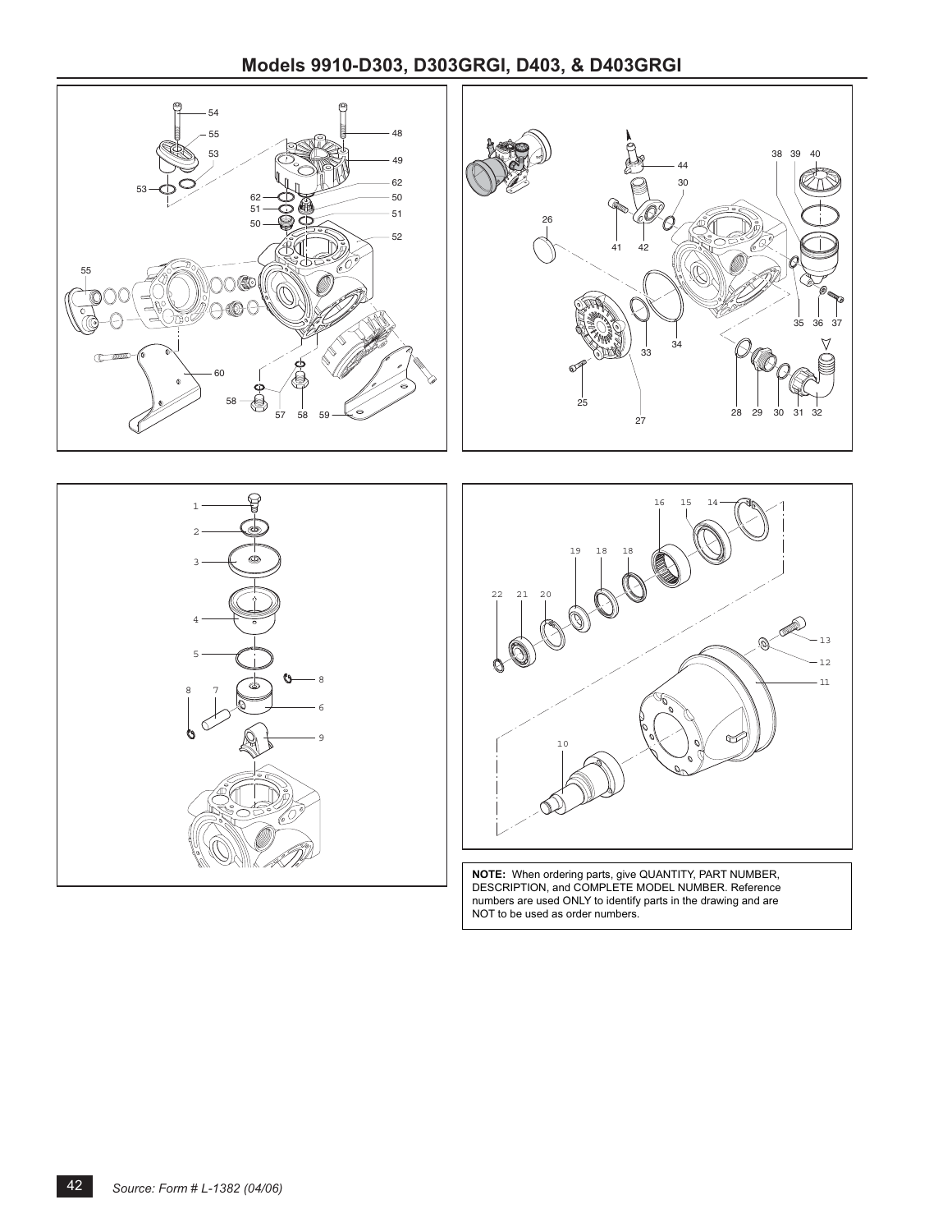## **Models 9910-D303, D303GRGI, D403, & D403GRGI**



NOT to be used as order numbers.